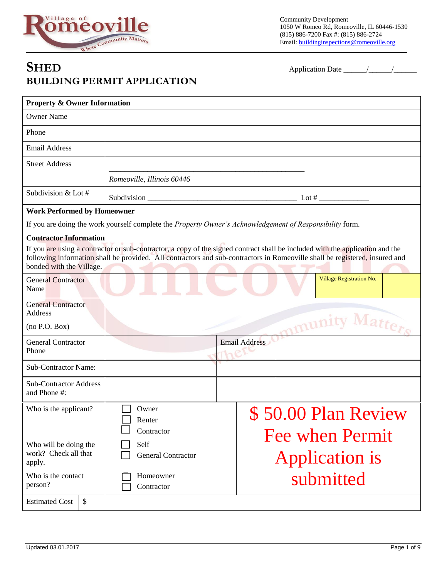

Community Development 1050 W Romeo Rd, Romeoville, IL 60446-1530 (815) 886-7200 Fax #: (815) 886-2724 Email: buildinginspections@romeoville.org

## **SHED** Application Date \_\_\_\_\_\_/\_\_\_\_\_\_/\_\_\_\_\_\_ **BUILDING PERMIT APPLICATION**

| <b>Property &amp; Owner Information</b>                 |                                                                                                                                                                                                                                                              |               |                                             |  |
|---------------------------------------------------------|--------------------------------------------------------------------------------------------------------------------------------------------------------------------------------------------------------------------------------------------------------------|---------------|---------------------------------------------|--|
| <b>Owner Name</b>                                       |                                                                                                                                                                                                                                                              |               |                                             |  |
| Phone                                                   |                                                                                                                                                                                                                                                              |               |                                             |  |
| <b>Email Address</b>                                    |                                                                                                                                                                                                                                                              |               |                                             |  |
| <b>Street Address</b>                                   |                                                                                                                                                                                                                                                              |               |                                             |  |
|                                                         | Romeoville, Illinois 60446                                                                                                                                                                                                                                   |               |                                             |  |
| Subdivision & Lot #                                     |                                                                                                                                                                                                                                                              |               |                                             |  |
| <b>Work Performed by Homeowner</b>                      |                                                                                                                                                                                                                                                              |               |                                             |  |
|                                                         | If you are doing the work yourself complete the Property Owner's Acknowledgement of Responsibility form.                                                                                                                                                     |               |                                             |  |
| <b>Contractor Information</b>                           |                                                                                                                                                                                                                                                              |               |                                             |  |
| bonded with the Village.                                | If you are using a contractor or sub-contractor, a copy of the signed contract shall be included with the application and the<br>following information shall be provided. All contractors and sub-contractors in Romeoville shall be registered, insured and |               |                                             |  |
| <b>General Contractor</b><br>Name                       |                                                                                                                                                                                                                                                              |               | Village Registration No.                    |  |
| <b>General Contractor</b><br>Address                    |                                                                                                                                                                                                                                                              |               |                                             |  |
| (no P.O. Box)                                           |                                                                                                                                                                                                                                                              |               | mmunity Matters                             |  |
| <b>General Contractor</b><br>Phone                      |                                                                                                                                                                                                                                                              | Email Address |                                             |  |
| <b>Sub-Contractor Name:</b>                             |                                                                                                                                                                                                                                                              |               |                                             |  |
| <b>Sub-Contractor Address</b><br>and Phone #:           |                                                                                                                                                                                                                                                              |               |                                             |  |
| Who is the applicant?                                   | Owner<br>Renter<br>Contractor                                                                                                                                                                                                                                |               | 50.00 Plan Review<br><b>Fee when Permit</b> |  |
| Who will be doing the<br>work? Check all that<br>apply. | Self<br><b>General Contractor</b>                                                                                                                                                                                                                            |               | <b>Application is</b>                       |  |
| Who is the contact<br>person?                           | Homeowner<br>Contractor                                                                                                                                                                                                                                      |               | submitted                                   |  |
| <b>Estimated Cost</b><br>$\boldsymbol{\mathsf{S}}$      |                                                                                                                                                                                                                                                              |               |                                             |  |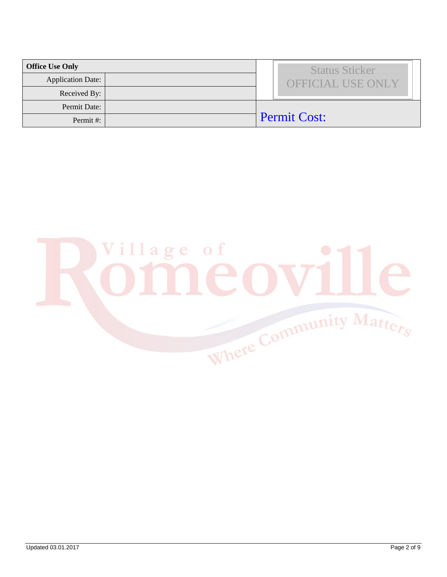| <b>Office Use Only</b>   |  | <b>Status Sticker</b>    |
|--------------------------|--|--------------------------|
| <b>Application Date:</b> |  | <b>OFFICIAL USE ONLY</b> |
| Received By:             |  |                          |
| Permit Date:             |  |                          |
| Permit#:                 |  | <b>Permit Cost:</b>      |

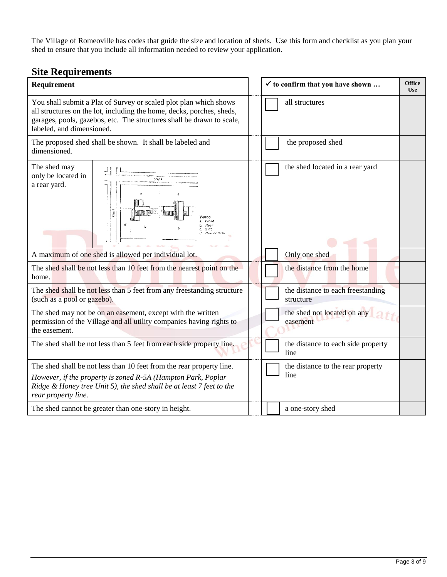The Village of Romeoville has codes that guide the size and location of sheds. Use this form and checklist as you plan your shed to ensure that you include all information needed to review your application.

### **Site Requirements**

| Requirement                                                                                                                                                                                                                                      |  | $\checkmark$ to confirm that you have shown    | <b>Office</b><br><b>Use</b> |
|--------------------------------------------------------------------------------------------------------------------------------------------------------------------------------------------------------------------------------------------------|--|------------------------------------------------|-----------------------------|
| You shall submit a Plat of Survey or scaled plot plan which shows<br>all structures on the lot, including the home, decks, porches, sheds,<br>garages, pools, gazebos, etc. The structures shall be drawn to scale,<br>labeled, and dimensioned. |  | all structures                                 |                             |
| The proposed shed shall be shown. It shall be labeled and<br>dimensioned.                                                                                                                                                                        |  | the proposed shed                              |                             |
| The shed may<br>only be located in<br>Street<br>a rear yard.<br><b>Street</b><br>YARDS<br>a: Front<br>d<br>b: Rear<br>c: Side<br>d: Corner Side                                                                                                  |  | the shed located in a rear yard                |                             |
| A maximum of one shed is allowed per individual lot.                                                                                                                                                                                             |  | Only one shed                                  |                             |
| The shed shall be not less than 10 feet from the nearest point on the<br>home.                                                                                                                                                                   |  | the distance from the home                     |                             |
| The shed shall be not less than 5 feet from any freestanding structure<br>(such as a pool or gazebo).                                                                                                                                            |  | the distance to each freestanding<br>structure |                             |
| The shed may not be on an easement, except with the written<br>permission of the Village and all utility companies having rights to<br>the easement.                                                                                             |  | the shed not located on any<br>easement        |                             |
| The shed shall be not less than 5 feet from each side property line.                                                                                                                                                                             |  | the distance to each side property<br>line     |                             |
| The shed shall be not less than 10 feet from the rear property line.                                                                                                                                                                             |  | the distance to the rear property              |                             |
| However, if the property is zoned R-5A (Hampton Park, Poplar<br>Ridge & Honey tree Unit 5), the shed shall be at least 7 feet to the<br>rear property line.                                                                                      |  | line                                           |                             |
| The shed cannot be greater than one-story in height.                                                                                                                                                                                             |  | a one-story shed                               |                             |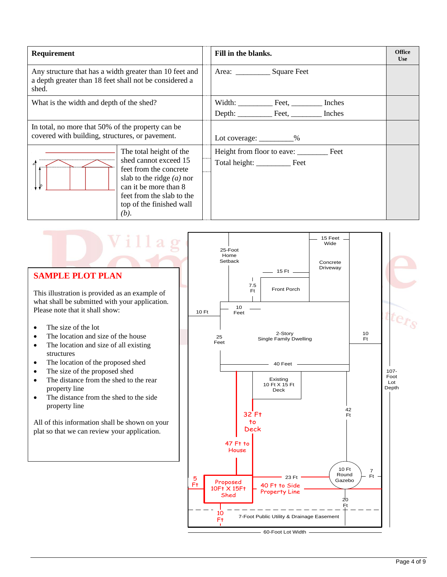| Requirement                                                                                                                |                                                                                                                                                                                                     | Fill in the blanks.      | <b>Office</b><br><b>Use</b> |
|----------------------------------------------------------------------------------------------------------------------------|-----------------------------------------------------------------------------------------------------------------------------------------------------------------------------------------------------|--------------------------|-----------------------------|
| Any structure that has a width greater than 10 feet and<br>a depth greater than 18 feet shall not be considered a<br>shed. |                                                                                                                                                                                                     | Area: Square Feet        |                             |
| What is the width and depth of the shed?                                                                                   |                                                                                                                                                                                                     |                          |                             |
|                                                                                                                            |                                                                                                                                                                                                     |                          |                             |
| In total, no more that 50% of the property can be<br>covered with building, structures, or pavement.                       |                                                                                                                                                                                                     | Lot coverage: _________% |                             |
| b                                                                                                                          | The total height of the<br>shed cannot exceed 15<br>feet from the concrete<br>slab to the ridge $(a)$ nor<br>can it be more than 8<br>feet from the slab to the<br>top of the finished wall<br>(b). | Total height: Feet       |                             |

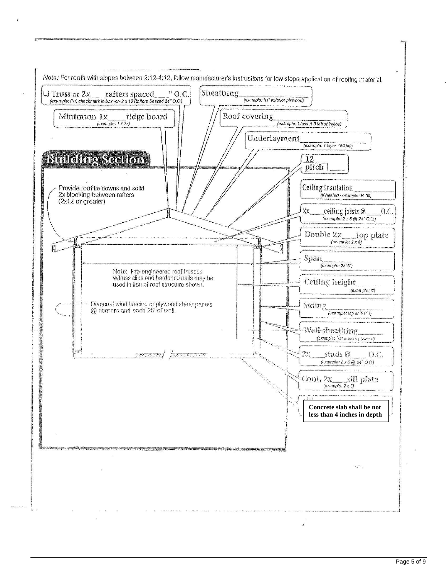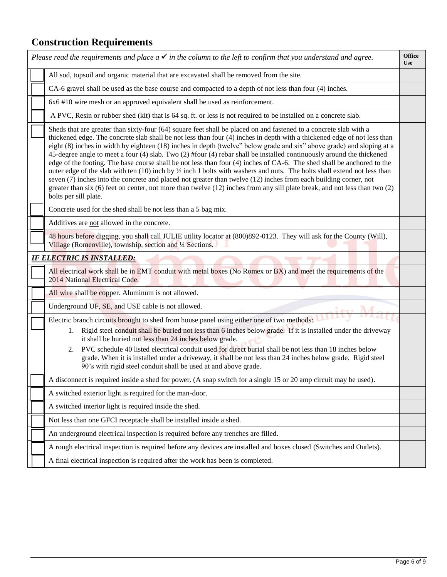# **Construction Requirements**

| Please read the requirements and place $a \checkmark$ in the column to the left to confirm that you understand and agree.                                                                                                                                                                                                                                                                                                                                                                                                                                                                                                                                                                                                                                                                                                                                                                                                                                                                                                                    | <b>Office</b><br><b>Use</b> |
|----------------------------------------------------------------------------------------------------------------------------------------------------------------------------------------------------------------------------------------------------------------------------------------------------------------------------------------------------------------------------------------------------------------------------------------------------------------------------------------------------------------------------------------------------------------------------------------------------------------------------------------------------------------------------------------------------------------------------------------------------------------------------------------------------------------------------------------------------------------------------------------------------------------------------------------------------------------------------------------------------------------------------------------------|-----------------------------|
| All sod, topsoil and organic material that are excavated shall be removed from the site.                                                                                                                                                                                                                                                                                                                                                                                                                                                                                                                                                                                                                                                                                                                                                                                                                                                                                                                                                     |                             |
| CA-6 gravel shall be used as the base course and compacted to a depth of not less than four (4) inches.                                                                                                                                                                                                                                                                                                                                                                                                                                                                                                                                                                                                                                                                                                                                                                                                                                                                                                                                      |                             |
| 6x6 #10 wire mesh or an approved equivalent shall be used as reinforcement.                                                                                                                                                                                                                                                                                                                                                                                                                                                                                                                                                                                                                                                                                                                                                                                                                                                                                                                                                                  |                             |
| A PVC, Resin or rubber shed (kit) that is 64 sq. ft. or less is not required to be installed on a concrete slab.                                                                                                                                                                                                                                                                                                                                                                                                                                                                                                                                                                                                                                                                                                                                                                                                                                                                                                                             |                             |
| Sheds that are greater than sixty-four (64) square feet shall be placed on and fastened to a concrete slab with a<br>thickened edge. The concrete slab shall be not less than four (4) inches in depth with a thickened edge of not less than<br>eight (8) inches in width by eighteen (18) inches in depth (twelve" below grade and six" above grade) and sloping at a<br>45-degree angle to meet a four (4) slab. Two (2) #four (4) rebar shall be installed continuously around the thickened<br>edge of the footing. The base course shall be not less than four (4) inches of CA-6. The shed shall be anchored to the<br>outer edge of the slab with ten (10) inch by $\frac{1}{2}$ inch J bolts with washers and nuts. The bolts shall extend not less than<br>seven (7) inches into the concrete and placed not greater than twelve (12) inches from each building corner, not<br>greater than six (6) feet on center, not more than twelve (12) inches from any sill plate break, and not less than two (2)<br>bolts per sill plate. |                             |
| Concrete used for the shed shall be not less than a 5 bag mix.                                                                                                                                                                                                                                                                                                                                                                                                                                                                                                                                                                                                                                                                                                                                                                                                                                                                                                                                                                               |                             |
| Additives are not allowed in the concrete.                                                                                                                                                                                                                                                                                                                                                                                                                                                                                                                                                                                                                                                                                                                                                                                                                                                                                                                                                                                                   |                             |
| 48 hours before digging, you shall call JULIE utility locator at (800)892-0123. They will ask for the County (Will),<br>Village (Romeoville), township, section and 1/4 Sections.                                                                                                                                                                                                                                                                                                                                                                                                                                                                                                                                                                                                                                                                                                                                                                                                                                                            |                             |
| <b>IF ELECTRIC IS INSTALLED:</b>                                                                                                                                                                                                                                                                                                                                                                                                                                                                                                                                                                                                                                                                                                                                                                                                                                                                                                                                                                                                             |                             |
| All electrical work shall be in EMT conduit with metal boxes (No Romex or BX) and meet the requirements of the<br>2014 National Electrical Code.                                                                                                                                                                                                                                                                                                                                                                                                                                                                                                                                                                                                                                                                                                                                                                                                                                                                                             |                             |
| All wire shall be copper. Aluminum is not allowed.                                                                                                                                                                                                                                                                                                                                                                                                                                                                                                                                                                                                                                                                                                                                                                                                                                                                                                                                                                                           |                             |
| Underground UF, SE, and USE cable is not allowed.                                                                                                                                                                                                                                                                                                                                                                                                                                                                                                                                                                                                                                                                                                                                                                                                                                                                                                                                                                                            |                             |
| Electric branch circuits brought to shed from house panel using either one of two methods:<br>1. Rigid steel conduit shall be buried not less than 6 inches below grade. If it is installed under the driveway<br>it shall be buried not less than 24 inches below grade.<br>2. PVC schedule 40 listed electrical conduit used for direct burial shall be not less than 18 inches below<br>grade. When it is installed under a driveway, it shall be not less than 24 inches below grade. Rigid steel<br>90's with rigid steel conduit shall be used at and above grade.                                                                                                                                                                                                                                                                                                                                                                                                                                                                     |                             |
| A disconnect is required inside a shed for power. (A snap switch for a single 15 or 20 amp circuit may be used).                                                                                                                                                                                                                                                                                                                                                                                                                                                                                                                                                                                                                                                                                                                                                                                                                                                                                                                             |                             |
| A switched exterior light is required for the man-door.                                                                                                                                                                                                                                                                                                                                                                                                                                                                                                                                                                                                                                                                                                                                                                                                                                                                                                                                                                                      |                             |
| A switched interior light is required inside the shed.                                                                                                                                                                                                                                                                                                                                                                                                                                                                                                                                                                                                                                                                                                                                                                                                                                                                                                                                                                                       |                             |
| Not less than one GFCI receptacle shall be installed inside a shed.                                                                                                                                                                                                                                                                                                                                                                                                                                                                                                                                                                                                                                                                                                                                                                                                                                                                                                                                                                          |                             |
| An underground electrical inspection is required before any trenches are filled.                                                                                                                                                                                                                                                                                                                                                                                                                                                                                                                                                                                                                                                                                                                                                                                                                                                                                                                                                             |                             |
| A rough electrical inspection is required before any devices are installed and boxes closed (Switches and Outlets).                                                                                                                                                                                                                                                                                                                                                                                                                                                                                                                                                                                                                                                                                                                                                                                                                                                                                                                          |                             |
| A final electrical inspection is required after the work has been is completed.                                                                                                                                                                                                                                                                                                                                                                                                                                                                                                                                                                                                                                                                                                                                                                                                                                                                                                                                                              |                             |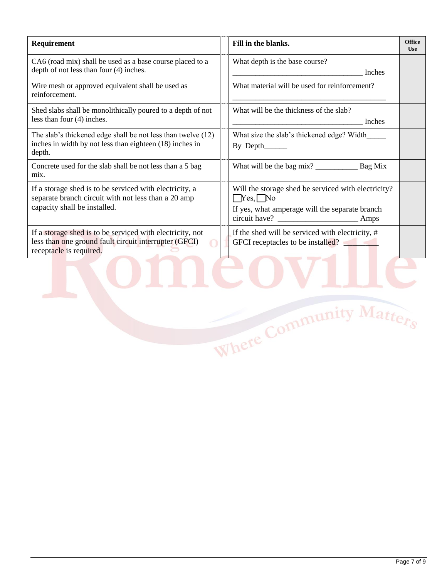| Requirement                                                                                                                                    | Fill in the blanks.                                                                                                            | <b>Office</b><br><b>Use</b> |
|------------------------------------------------------------------------------------------------------------------------------------------------|--------------------------------------------------------------------------------------------------------------------------------|-----------------------------|
| CA6 (road mix) shall be used as a base course placed to a<br>depth of not less than four (4) inches.                                           | What depth is the base course?<br>Inches                                                                                       |                             |
| Wire mesh or approved equivalent shall be used as<br>reinforcement.                                                                            | What material will be used for reinforcement?                                                                                  |                             |
| Shed slabs shall be monolithically poured to a depth of not<br>less than four (4) inches.                                                      | What will be the thickness of the slab?<br>Inches                                                                              |                             |
| The slab's thickened edge shall be not less than twelve (12)<br>inches in width by not less than eighteen (18) inches in<br>depth.             | What size the slab's thickened edge? Width<br>By Depth______                                                                   |                             |
| Concrete used for the slab shall be not less than a 5 bag<br>mix.                                                                              |                                                                                                                                |                             |
| If a storage shed is to be serviced with electricity, a<br>separate branch circuit with not less than a 20 amp<br>capacity shall be installed. | Will the storage shed be serviced with electricity?<br>$\Box$ Yes, $\Box$ No<br>If yes, what amperage will the separate branch |                             |
| If a storage shed is to be serviced with electricity, not<br>less than one ground fault circuit interrupter (GFCI)<br>receptacle is required.  | If the shed will be serviced with electricity, #<br>GFCI receptacles to be installed?                                          |                             |
|                                                                                                                                                | Where Community Matters                                                                                                        |                             |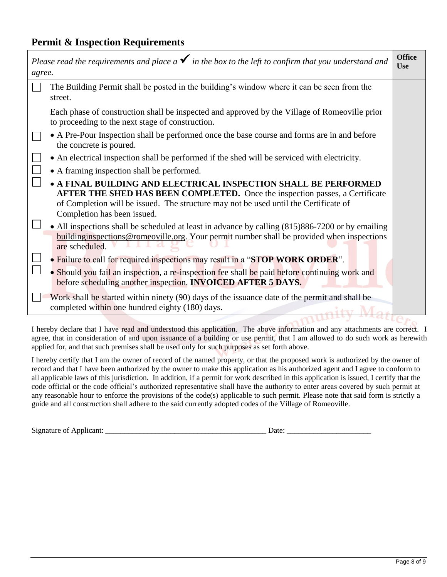### **Permit & Inspection Requirements**

| agree. | Please read the requirements and place a $\checkmark$ in the box to the left to confirm that you understand and                                                                                                                                                        | <b>Office</b><br><b>Use</b> |
|--------|------------------------------------------------------------------------------------------------------------------------------------------------------------------------------------------------------------------------------------------------------------------------|-----------------------------|
|        | The Building Permit shall be posted in the building's window where it can be seen from the<br>street.                                                                                                                                                                  |                             |
|        | Each phase of construction shall be inspected and approved by the Village of Romeoville prior<br>to proceeding to the next stage of construction.                                                                                                                      |                             |
|        | • A Pre-Pour Inspection shall be performed once the base course and forms are in and before<br>the concrete is poured.                                                                                                                                                 |                             |
|        | • An electrical inspection shall be performed if the shed will be serviced with electricity.                                                                                                                                                                           |                             |
|        | • A framing inspection shall be performed.                                                                                                                                                                                                                             |                             |
|        | • A FINAL BUILDING AND ELECTRICAL INSPECTION SHALL BE PERFORMED<br>AFTER THE SHED HAS BEEN COMPLETED. Once the inspection passes, a Certificate<br>of Completion will be issued. The structure may not be used until the Certificate of<br>Completion has been issued. |                             |
|        | • All inspections shall be scheduled at least in advance by calling (815)886-7200 or by emailing<br><b>buildinginspections@romeoville.org.</b> Your permit number shall be provided when inspections<br>are scheduled.                                                 |                             |
|        | • Failure to call for required inspections may result in a "STOP WORK ORDER".                                                                                                                                                                                          |                             |
|        | • Should you fail an inspection, a re-inspection fee shall be paid before continuing work and<br>before scheduling another inspection. <b>INVOICED AFTER 5 DAYS.</b>                                                                                                   |                             |
|        | Work shall be started within ninety (90) days of the issuance date of the permit and shall be<br>completed within one hundred eighty (180) days.                                                                                                                       |                             |
|        |                                                                                                                                                                                                                                                                        |                             |

I hereby declare that I have read and understood this application. The above information and any attachments are correct. I agree, that in consideration of and upon issuance of a building or use permit, that I am allowed to do such work as herewith applied for, and that such premises shall be used only for such purposes as set forth above.

I hereby certify that I am the owner of record of the named property, or that the proposed work is authorized by the owner of record and that I have been authorized by the owner to make this application as his authorized agent and I agree to conform to all applicable laws of this jurisdiction. In addition, if a permit for work described in this application is issued, I certify that the code official or the code official's authorized representative shall have the authority to enter areas covered by such permit at any reasonable hour to enforce the provisions of the code(s) applicable to such permit. Please note that said form is strictly a guide and all construction shall adhere to the said currently adopted codes of the Village of Romeoville.

| Signature of Applicant: |
|-------------------------|
|                         |

| <b>Signature of Applicant:</b> |  |
|--------------------------------|--|
| Date                           |  |
|                                |  |
|                                |  |